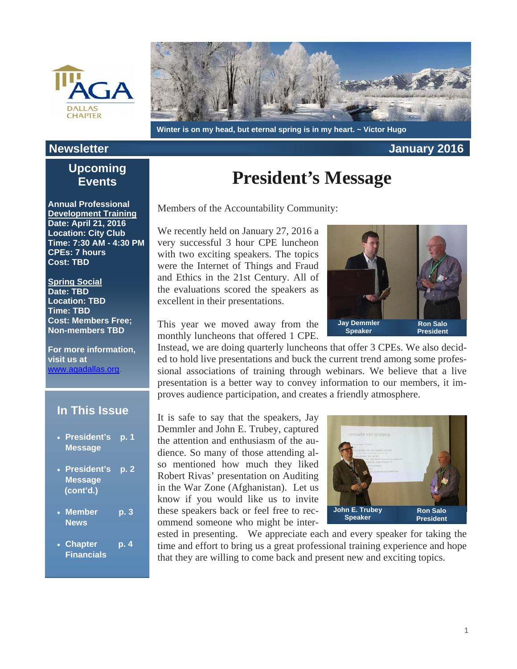



#### **Winter is on my head, but eternal spring is in my heart. ~ Victor Hugo**

#### **Newsletter January 2016**

### **Upcoming Events**

**Annual Professional Development Training Date: April 21, 2016 Location: City Club Time: 7:30 AM - 4:30 PM CPEs: 7 hours Cost: TBD** 

**Spring Social Date: TBD Location: TBD Time: TBD Cost: Members Free; Non-members TBD** 

**For more information, visit us at**  www.agadallas.org.

#### **In This Issue**

- **President's p. 1 Message**
- **President's p. 2 Message (cont'd.)**
- **Member p. 3 News**
- **Chapter p. 4 Financials**

## **President's Message**

Members of the Accountability Community:

We recently held on January 27, 2016 a very successful 3 hour CPE luncheon with two exciting speakers. The topics were the Internet of Things and Fraud and Ethics in the 21st Century. All of the evaluations scored the speakers as excellent in their presentations.



This year we moved away from the monthly luncheons that offered 1 CPE.

Instead, we are doing quarterly luncheons that offer 3 CPEs. We also decided to hold live presentations and buck the current trend among some professional associations of training through webinars. We believe that a live presentation is a better way to convey information to our members, it improves audience participation, and creates a friendly atmosphere.

It is safe to say that the speakers, Jay Demmler and John E. Trubey, captured the attention and enthusiasm of the audience. So many of those attending also mentioned how much they liked Robert Rivas' presentation on Auditing in the War Zone (Afghanistan). Let us know if you would like us to invite these speakers back or feel free to recommend someone who might be inter-



ested in presenting. We appreciate each and every speaker for taking the time and effort to bring us a great professional training experience and hope that they are willing to come back and present new and exciting topics.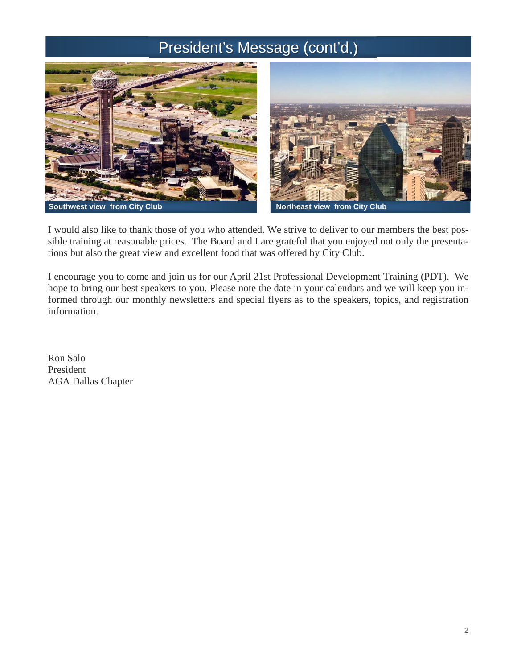## President's Message (cont'd.)



I would also like to thank those of you who attended. We strive to deliver to our members the best possible training at reasonable prices. The Board and I are grateful that you enjoyed not only the presentations but also the great view and excellent food that was offered by City Club.

I encourage you to come and join us for our April 21st Professional Development Training (PDT). We hope to bring our best speakers to you. Please note the date in your calendars and we will keep you informed through our monthly newsletters and special flyers as to the speakers, topics, and registration information.

Ron Salo President AGA Dallas Chapter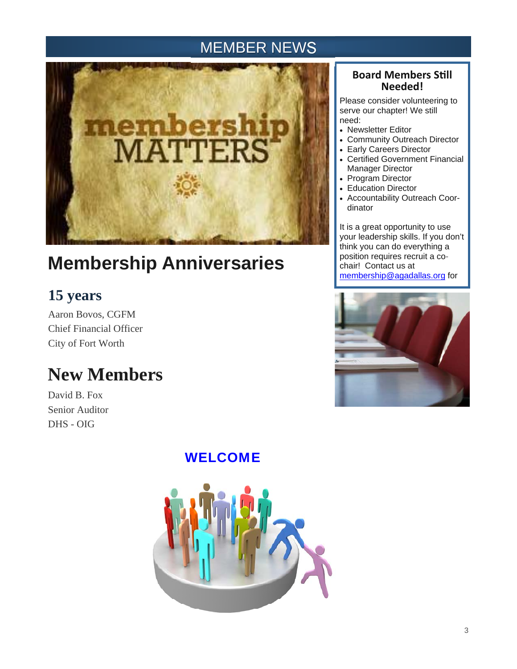### MEMBER NEWS



# **Membership Anniversaries**

## **15 years**

Aaron Bovos, CGFM Chief Financial Officer City of Fort Worth

# **New Members**

David B. Fox Senior Auditor DHS - OIG

### WELCOME



### **Board Members SƟll Needed!**

Please consider volunteering to serve our chapter! We still need:

- Newsletter Editor
- Community Outreach Director
- Early Careers Director
- Certified Government Financial Manager Director
- Program Director
- Education Director
- Accountability Outreach Coordinator

It is a great opportunity to use your leadership skills. If you don't think you can do everything a position requires recruit a cochair! Contact us at membership@agadallas.org for